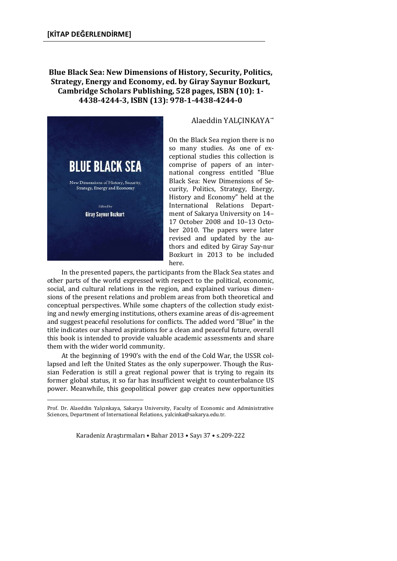## **Blue Black Sea: New Dimensions of History, Security, Politics, Strategy, Energy and Economy, ed. by Giray Saynur Bozkurt, Cambridge Scholars Publishing, 528 pages, ISBN (10): 1- 4438-4244-3, ISBN (13): 978-1-4438-4244-0**



 $\overline{a}$ 

## Alaeddin YALÇINKAYA

On the Black Sea region there is no so many studies. As one of exceptional studies this collection is comprise of papers of an international congress entitled "Blue Black Sea: New Dimensions of Security, Politics, Strategy, Energy, History and Economy" held at the International Relations Department of Sakarya University on 14– 17 October 2008 and 10–13 October 2010. The papers were later revised and updated by the authors and edited by Giray Say-nur Bozkurt in 2013 to be included here.

In the presented papers, the participants from the Black Sea states and other parts of the world expressed with respect to the political, economic, social, and cultural relations in the region, and explained various dimensions of the present relations and problem areas from both theoretical and conceptual perspectives. While some chapters of the collection study existing and newly emerging institutions, others examine areas of dis-agreement and suggest peaceful resolutions for conflicts. The added word "Blue" in the title indicates our shared aspirations for a clean and peaceful future, overall this book is intended to provide valuable academic assessments and share them with the wider world community.

At the beginning of 1990's with the end of the Cold War, the USSR collapsed and left the United States as the only superpower. Though the Russian Federation is still a great regional power that is trying to regain its former global status, it so far has insufficient weight to counterbalance US power. Meanwhile, this geopolitical power gap creates new opportunities

Karadeniz Araştırmaları • Bahar 2013 • Sayı 37 • s.209-222

Prof. Dr. Alaeddin Yalçınkaya, Sakarya University, Faculty of Economic and Administrative Sciences, Department of International Relations, yalcinka@sakarya.edu.tr.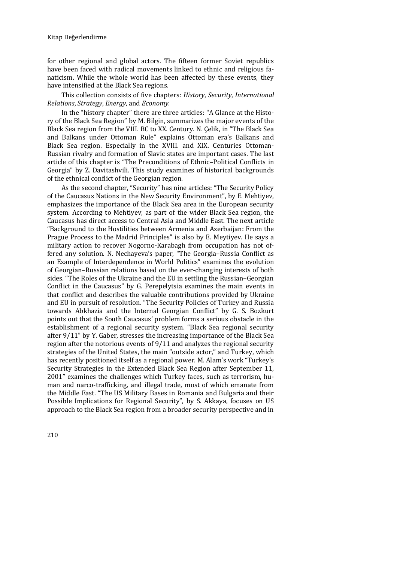for other regional and global actors. The fifteen former Soviet republics have been faced with radical movements linked to ethnic and religious fanaticism. While the whole world has been affected by these events, they have intensified at the Black Sea regions.

This collection consists of five chapters: *History*, *Security*, *International Relations*, *Strategy*, *Energy*, and *Economy*.

In the "history chapter" there are three articles: "A Glance at the History of the Black Sea Region" by M. Bilgin, summarizes the major events of the Black Sea region from the VIII. BC to XX. Century. N. Çelik, in "The Black Sea and Balkans under Ottoman Rule" explains Ottoman era's Balkans and Black Sea region. Especially in the XVIII. and XIX. Centuries Ottoman-Russian rivalry and formation of Slavic states are important cases. The last article of this chapter is "The Preconditions of Ethnic–Political Conflicts in Georgia" by Z. Davitashvili. This study examines of historical backgrounds of the ethnical conflict of the Georgian region.

As the second chapter, "Security" has nine articles: "The Security Policy of the Caucasus Nations in the New Security Environment", by E. Mehtiyev, emphasizes the importance of the Black Sea area in the European security system. According to Mehtiyev, as part of the wider Black Sea region, the Caucasus has direct access to Central Asia and Middle East. The next article "Background to the Hostilities between Armenia and Azerbaijan: From the Prague Process to the Madrid Principles" is also by E. Meytiyev. He says a military action to recover Nogorno-Karabagh from occupation has not offered any solution. N. Nechayeva's paper, "The Georgia–Russia Conflict as an Example of Interdependence in World Politics" examines the evolution of Georgian–Russian relations based on the ever-changing interests of both sides. "The Roles of the Ukraine and the EU in settling the Russian–Georgian Conflict in the Caucasus" by G. Perepelytsia examines the main events in that conflict and describes the valuable contributions provided by Ukraine and EU in pursuit of resolution. "The Security Policies of Turkey and Russia towards Abkhazia and the Internal Georgian Conflict" by G. S. Bozkurt points out that the South Caucasus' problem forms a serious obstacle in the establishment of a regional security system. "Black Sea regional security after 9/11" by Y. Gaber, stresses the increasing importance of the Black Sea region after the notorious events of 9/11 and analyzes the regional security strategies of the United States, the main "outside actor," and Turkey, which has recently positioned itself as a regional power. M. Alam's work "Turkey's Security Strategies in the Extended Black Sea Region after September 11, 2001" examines the challenges which Turkey faces, such as terrorism, human and narco-trafficking, and illegal trade, most of which emanate from the Middle East. "The US Military Bases in Romania and Bulgaria and their Possible Implications for Regional Security", by S. Akkaya, focuses on US approach to the Black Sea region from a broader security perspective and in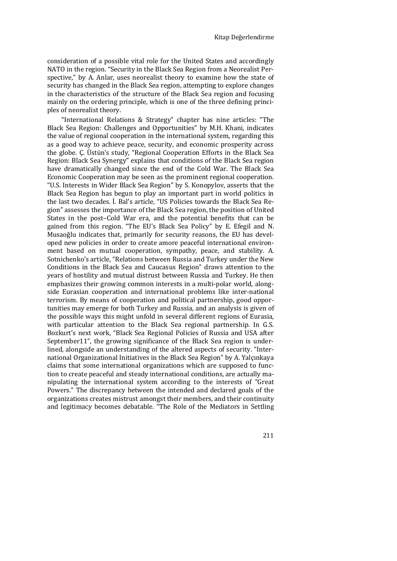consideration of a possible vital role for the United States and accordingly NATO in the region. "Security in the Black Sea Region from a Neorealist Perspective," by A. Anlar, uses neorealist theory to examine how the state of security has changed in the Black Sea region, attempting to explore changes in the characteristics of the structure of the Black Sea region and focusing mainly on the ordering principle, which is one of the three defining principles of neorealist theory.

"International Relations & Strategy" chapter has nine articles: "The Black Sea Region: Challenges and Opportunities" by M.H. Khani, indicates the value of regional cooperation in the international system, regarding this as a good way to achieve peace, security, and economic prosperity across the globe. Ç. Üstün's study, "Regional Cooperation Efforts in the Black Sea Region: Black Sea Synergy" explains that conditions of the Black Sea region have dramatically changed since the end of the Cold War. The Black Sea Economic Cooperation may be seen as the prominent regional cooperation. "U.S. Interests in Wider Black Sea Region" by S. Konopylov, asserts that the Black Sea Region has begun to play an important part in world politics in the last two decades. İ. Bal's article, "US Policies towards the Black Sea Region" assesses the importance of the Black Sea region, the position of United States in the post–Cold War era, and the potential benefits that can be gained from this region. "The EU's Black Sea Policy" by E. Efegil and N. Musaoğlu indicates that, primarily for security reasons, the EU has developed new policies in order to create amore peaceful international environment based on mutual cooperation, sympathy, peace, and stability. A. Sotnichenko's article, "Relations between Russia and Turkey under the New Conditions in the Black Sea and Caucasus Region" draws attention to the years of hostility and mutual distrust between Russia and Turkey. He then emphasizes their growing common interests in a multi-polar world, alongside Eurasian cooperation and international problems like inter-national terrorism. By means of cooperation and political partnership, good opportunities may emerge for both Turkey and Russia, and an analysis is given of the possible ways this might unfold in several different regions of Eurasia, with particular attention to the Black Sea regional partnership. In G.S. Bozkurt's next work, "Black Sea Regional Policies of Russia and USA after September11", the growing significance of the Black Sea region is underlined, alongside an understanding of the altered aspects of security. "International Organizational Initiatives in the Black Sea Region" by A. Yalçınkaya claims that some international organizations which are supposed to function to create peaceful and steady international conditions, are actually manipulating the international system according to the interests of "Great Powers." The discrepancy between the intended and declared goals of the organizations creates mistrust amongst their members, and their continuity and legitimacy becomes debatable. "The Role of the Mediators in Settling

211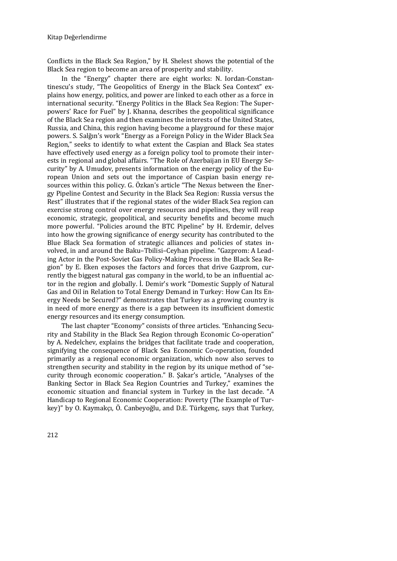Conflicts in the Black Sea Region," by H. Shelest shows the potential of the Black Sea region to become an area of prosperity and stability.

In the "Energy" chapter there are eight works: N. Iordan-Constantinescu's study, "The Geopolitics of Energy in the Black Sea Context" explains how energy, politics, and power are linked to each other as a force in international security. "Energy Politics in the Black Sea Region: The Superpowers' Race for Fuel" by J. Khanna, describes the geopolitical significance of the Black Sea region and then examines the interests of the United States, Russia, and China, this region having become a playground for these major powers. S. Salğın's work "Energy as a Foreign Policy in the Wider Black Sea Region," seeks to identify to what extent the Caspian and Black Sea states have effectively used energy as a foreign policy tool to promote their interests in regional and global affairs. "The Role of Azerbaijan in EU Energy Security" by A. Umudov, presents information on the energy policy of the European Union and sets out the importance of Caspian basin energy resources within this policy. G. Özkan's article "The Nexus between the Energy Pipeline Contest and Security in the Black Sea Region: Russia versus the Rest" illustrates that if the regional states of the wider Black Sea region can exercise strong control over energy resources and pipelines, they will reap economic, strategic, geopolitical, and security benefits and become much more powerful. "Policies around the BTC Pipeline" by H. Erdemir, delves into how the growing significance of energy security has contributed to the Blue Black Sea formation of strategic alliances and policies of states involved, in and around the Baku–Tbilisi–Ceyhan pipeline. "Gazprom: A Leading Actor in the Post-Soviet Gas Policy-Making Process in the Black Sea Region" by E. Eken exposes the factors and forces that drive Gazprom, currently the biggest natural gas company in the world, to be an influential actor in the region and globally. İ. Demir's work "Domestic Supply of Natural Gas and Oil in Relation to Total Energy Demand in Turkey: How Can Its Energy Needs be Secured?" demonstrates that Turkey as a growing country is in need of more energy as there is a gap between its insufficient domestic energy resources and its energy consumption.

The last chapter "Economy" consists of three articles. "Enhancing Security and Stability in the Black Sea Region through Economic Co-operation" by A. Nedelchev, explains the bridges that facilitate trade and cooperation, signifying the consequence of Black Sea Economic Co-operation, founded primarily as a regional economic organization, which now also serves to strengthen security and stability in the region by its unique method of "security through economic cooperation." B. Şakar's article, "Analyses of the Banking Sector in Black Sea Region Countries and Turkey," examines the economic situation and financial system in Turkey in the last decade. "A Handicap to Regional Economic Cooperation: Poverty (The Example of Turkey)" by O. Kaymakçı, Ö. Canbeyoğlu, and D.E. Türkgenç, says that Turkey,